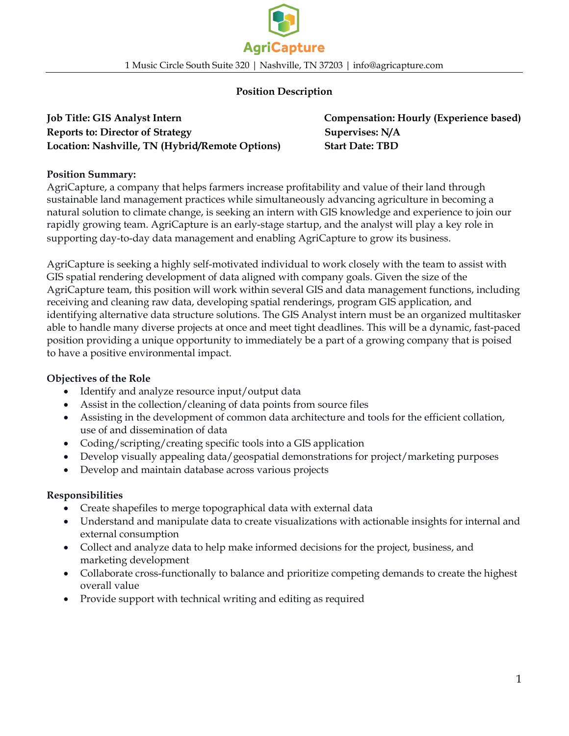

### **Position Description**

# **Job Title: GIS Analyst Intern Compensation: Hourly (Experience based) Reports to: Director of Strategy Supervises: N/A Location: Nashville, TN (Hybrid/Remote Options) Start Date: TBD**

#### **Position Summary:**

AgriCapture, a company that helps farmers increase profitability and value of their land through sustainable land management practices while simultaneously advancing agriculture in becoming a natural solution to climate change, is seeking an intern with GIS knowledge and experience to join our rapidly growing team. AgriCapture is an early-stage startup, and the analyst will play a key role in supporting day-to-day data management and enabling AgriCapture to grow its business.

AgriCapture is seeking a highly self-motivated individual to work closely with the team to assist with GIS spatial rendering development of data aligned with company goals. Given the size of the AgriCapture team, this position will work within several GIS and data management functions, including receiving and cleaning raw data, developing spatial renderings, program GIS application, and identifying alternative data structure solutions. The GIS Analyst intern must be an organized multitasker able to handle many diverse projects at once and meet tight deadlines. This will be a dynamic, fast-paced position providing a unique opportunity to immediately be a part of a growing company that is poised to have a positive environmental impact.

# **Objectives of the Role**

- Identify and analyze resource input/output data
- Assist in the collection/cleaning of data points from source files
- Assisting in the development of common data architecture and tools for the efficient collation, use of and dissemination of data
- Coding/scripting/creating specific tools into a GIS application
- Develop visually appealing data/geospatial demonstrations for project/marketing purposes
- Develop and maintain database across various projects

#### **Responsibilities**

- Create shapefiles to merge topographical data with external data
- Understand and manipulate data to create visualizations with actionable insights for internal and external consumption
- Collect and analyze data to help make informed decisions for the project, business, and marketing development
- Collaborate cross-functionally to balance and prioritize competing demands to create the highest overall value
- Provide support with technical writing and editing as required